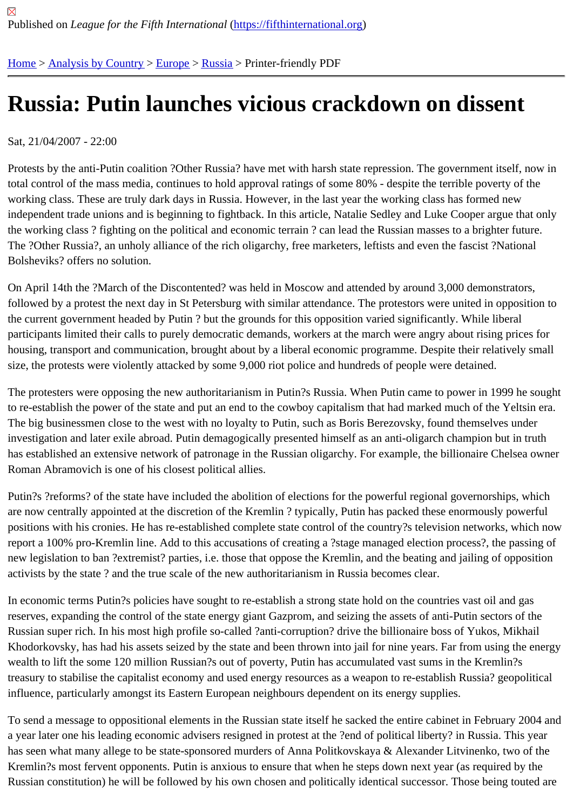## [Ru](https://fifthinternational.org/)[ssia: Putin](https://fifthinternational.org/category/1) l[aun](https://fifthinternational.org/category/1/128)[ches](https://fifthinternational.org/category/1/128/166) vicious crackdown on dissent

## Sat, 21/04/2007 - 22:00

Protests by the anti-Putin coalition ?Other Russia? have met with harsh state repression. The government itself, n total control of the mass media, continues to hold approval ratings of some 80% - despite the terrible poverty of the working class. These are truly dark days in Russia. However, in the last year the working class has formed new independent trade unions and is beginning to fightback. In this article, Natalie Sedley and Luke Cooper argue that the working class ? fighting on the political and economic terrain ? can lead the Russian masses to a brighter futur The ?Other Russia?, an unholy alliance of the rich oligarchy, free marketers, leftists and even the fascist ?National Bolsheviks? offers no solution.

On April 14th the ?March of the Discontented? was held in Moscow and attended by around 3,000 demonstrators, followed by a protest the next day in St Petersburg with similar attendance. The protestors were united in oppositio the current government headed by Putin ? but the grounds for this opposition varied significantly. While liberal participants limited their calls to purely democratic demands, workers at the march were angry about rising prices housing, transport and communication, brought about by a liberal economic programme. Despite their relatively sn size, the protests were violently attacked by some 9,000 riot police and hundreds of people were detained.

The protesters were opposing the new authoritarianism in Putin?s Russia. When Putin came to power in 1999 he s to re-establish the power of the state and put an end to the cowboy capitalism that had marked much of the Yeltsir The big businessmen close to the west with no loyalty to Putin, such as Boris Berezovsky, found themselves under investigation and later exile abroad. Putin demagogically presented himself as an anti-oligarch champion but in tru has established an extensive network of patronage in the Russian oligarchy. For example, the billionaire Chelsea Roman Abramovich is one of his closest political allies.

Putin?s ?reforms? of the state have included the abolition of elections for the powerful regional governorships, whi are now centrally appointed at the discretion of the Kremlin? typically, Putin has packed these enormously powerf positions with his cronies. He has re-established complete state control of the country?s television networks, which report a 100% pro-Kremlin line. Add to this accusations of creating a ?stage managed election process?, the pass new legislation to ban ?extremist? parties, i.e. those that oppose the Kremlin, and the beating and jailing of opposi activists by the state ? and the true scale of the new authoritarianism in Russia becomes clear.

In economic terms Putin?s policies have sought to re-establish a strong state hold on the countries vast oil and ga reserves, expanding the control of the state energy giant Gazprom, and seizing the assets of anti-Putin sectors of Russian super rich. In his most high profile so-called ?anti-corruption? drive the billionaire boss of Yukos, Mikhail Khodorkovsky, has had his assets seized by the state and been thrown into jail for nine years. Far from using the e wealth to lift the some 120 million Russian?s out of poverty, Putin has accumulated vast sums in the Kremlin?s treasury to stabilise the capitalist economy and used energy resources as a weapon to re-establish Russia? geopo influence, particularly amongst its Eastern European neighbours dependent on its energy supplies.

To send a message to oppositional elements in the Russian state itself he sacked the entire cabinet in February 20 a year later one his leading economic advisers resigned in protest at the ?end of political liberty? in Russia. This ye has seen what many allege to be state-sponsored murders of Anna Politkovskaya & Alexander Litvinenko, two of t Kremlin?s most fervent opponents. Putin is anxious to ensure that when he steps down next year (as required by t Russian constitution) he will be followed by his own chosen and politically identical successor. Those being touted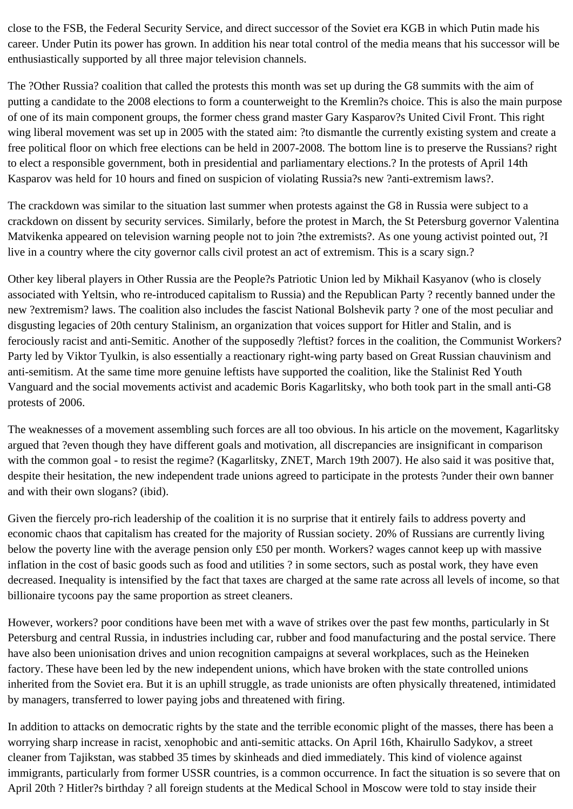close to the FSB, the Federal Security Service, and direct successor of the Soviet era KGB in which Putin made his career. Under Putin its power has grown. In addition his near total control of the media means that his successor will be enthusiastically supported by all three major television channels.

The ?Other Russia? coalition that called the protests this month was set up during the G8 summits with the aim of putting a candidate to the 2008 elections to form a counterweight to the Kremlin?s choice. This is also the main purpose of one of its main component groups, the former chess grand master Gary Kasparov?s United Civil Front. This right wing liberal movement was set up in 2005 with the stated aim: ?to dismantle the currently existing system and create a free political floor on which free elections can be held in 2007-2008. The bottom line is to preserve the Russians? right to elect a responsible government, both in presidential and parliamentary elections.? In the protests of April 14th Kasparov was held for 10 hours and fined on suspicion of violating Russia?s new ?anti-extremism laws?.

The crackdown was similar to the situation last summer when protests against the G8 in Russia were subject to a crackdown on dissent by security services. Similarly, before the protest in March, the St Petersburg governor Valentina Matvikenka appeared on television warning people not to join ?the extremists?. As one young activist pointed out, ?I live in a country where the city governor calls civil protest an act of extremism. This is a scary sign.?

Other key liberal players in Other Russia are the People?s Patriotic Union led by Mikhail Kasyanov (who is closely associated with Yeltsin, who re-introduced capitalism to Russia) and the Republican Party ? recently banned under the new ?extremism? laws. The coalition also includes the fascist National Bolshevik party ? one of the most peculiar and disgusting legacies of 20th century Stalinism, an organization that voices support for Hitler and Stalin, and is ferociously racist and anti-Semitic. Another of the supposedly ?leftist? forces in the coalition, the Communist Workers? Party led by Viktor Tyulkin, is also essentially a reactionary right-wing party based on Great Russian chauvinism and anti-semitism. At the same time more genuine leftists have supported the coalition, like the Stalinist Red Youth Vanguard and the social movements activist and academic Boris Kagarlitsky, who both took part in the small anti-G8 protests of 2006.

The weaknesses of a movement assembling such forces are all too obvious. In his article on the movement, Kagarlitsky argued that ?even though they have different goals and motivation, all discrepancies are insignificant in comparison with the common goal - to resist the regime? (Kagarlitsky, ZNET, March 19th 2007). He also said it was positive that, despite their hesitation, the new independent trade unions agreed to participate in the protests ?under their own banner and with their own slogans? (ibid).

Given the fiercely pro-rich leadership of the coalition it is no surprise that it entirely fails to address poverty and economic chaos that capitalism has created for the majority of Russian society. 20% of Russians are currently living below the poverty line with the average pension only £50 per month. Workers? wages cannot keep up with massive inflation in the cost of basic goods such as food and utilities ? in some sectors, such as postal work, they have even decreased. Inequality is intensified by the fact that taxes are charged at the same rate across all levels of income, so that billionaire tycoons pay the same proportion as street cleaners.

However, workers? poor conditions have been met with a wave of strikes over the past few months, particularly in St Petersburg and central Russia, in industries including car, rubber and food manufacturing and the postal service. There have also been unionisation drives and union recognition campaigns at several workplaces, such as the Heineken factory. These have been led by the new independent unions, which have broken with the state controlled unions inherited from the Soviet era. But it is an uphill struggle, as trade unionists are often physically threatened, intimidated by managers, transferred to lower paying jobs and threatened with firing.

In addition to attacks on democratic rights by the state and the terrible economic plight of the masses, there has been a worrying sharp increase in racist, xenophobic and anti-semitic attacks. On April 16th, Khairullo Sadykov, a street cleaner from Tajikstan, was stabbed 35 times by skinheads and died immediately. This kind of violence against immigrants, particularly from former USSR countries, is a common occurrence. In fact the situation is so severe that on April 20th ? Hitler?s birthday ? all foreign students at the Medical School in Moscow were told to stay inside their